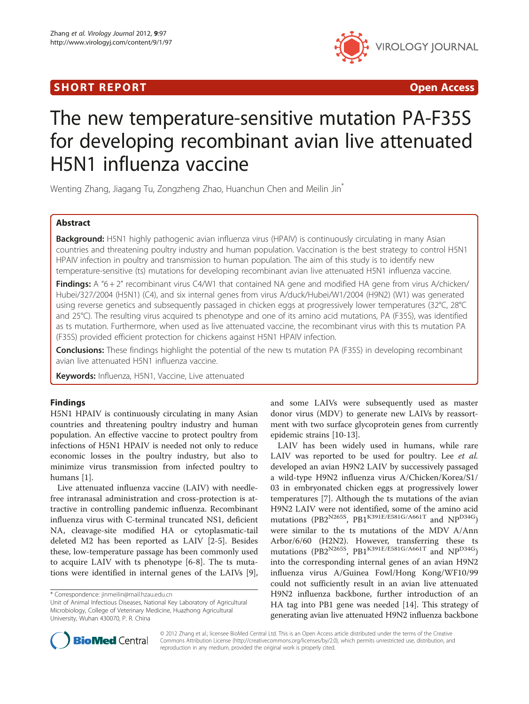# **SHORT REPORT CONSUMING THE OPEN ACCESS**



# The new temperature-sensitive mutation PA-F35S for developing recombinant avian live attenuated H5N1 influenza vaccine

Wenting Zhang, Jiagang Tu, Zongzheng Zhao, Huanchun Chen and Meilin Jin\*

## Abstract

Background: H5N1 highly pathogenic avian influenza virus (HPAIV) is continuously circulating in many Asian countries and threatening poultry industry and human population. Vaccination is the best strategy to control H5N1 HPAIV infection in poultry and transmission to human population. The aim of this study is to identify new temperature-sensitive (ts) mutations for developing recombinant avian live attenuated H5N1 influenza vaccine.

Findings: A "6+2" recombinant virus C4/W1 that contained NA gene and modified HA gene from virus A/chicken/ Hubei/327/2004 (H5N1) (C4), and six internal genes from virus A/duck/Hubei/W1/2004 (H9N2) (W1) was generated using reverse genetics and subsequently passaged in chicken eggs at progressively lower temperatures (32°C, 28°C and 25°C). The resulting virus acquired ts phenotype and one of its amino acid mutations, PA (F35S), was identified as ts mutation. Furthermore, when used as live attenuated vaccine, the recombinant virus with this ts mutation PA (F35S) provided efficient protection for chickens against H5N1 HPAIV infection.

**Conclusions:** These findings highlight the potential of the new ts mutation PA (F35S) in developing recombinant avian live attenuated H5N1 influenza vaccine.

Keywords: Influenza, H5N1, Vaccine, Live attenuated

## Findings

H5N1 HPAIV is continuously circulating in many Asian countries and threatening poultry industry and human population. An effective vaccine to protect poultry from infections of H5N1 HPAIV is needed not only to reduce economic losses in the poultry industry, but also to minimize virus transmission from infected poultry to humans [\[1\]](#page-4-0).

Live attenuated influenza vaccine (LAIV) with needlefree intranasal administration and cross-protection is attractive in controlling pandemic influenza. Recombinant influenza virus with C-terminal truncated NS1, deficient NA, cleavage-site modified HA or cytoplasmatic-tail deleted M2 has been reported as LAIV [\[2-5](#page-4-0)]. Besides these, low-temperature passage has been commonly used to acquire LAIV with ts phenotype [\[6](#page-4-0)-[8](#page-4-0)]. The ts mutations were identified in internal genes of the LAIVs [\[9](#page-4-0)],

and some LAIVs were subsequently used as master donor virus (MDV) to generate new LAIVs by reassortment with two surface glycoprotein genes from currently epidemic strains [\[10-13](#page-4-0)].

LAIV has been widely used in humans, while rare LAIV was reported to be used for poultry. Lee et al. developed an avian H9N2 LAIV by successively passaged a wild-type H9N2 influenza virus A/Chicken/Korea/S1/ 03 in embryonated chicken eggs at progressively lower temperatures [[7\]](#page-4-0). Although the ts mutations of the avian H9N2 LAIV were not identified, some of the amino acid mutations (PB2<sup>N265S</sup>, PB1<sup>K391E/E581G/A661T</sup> and NP<sup>D34G</sup>) were similar to the ts mutations of the MDV A/Ann Arbor/6/60 (H2N2). However, transferring these ts mutations (PB2<sup>N265S</sup>, PB1<sup>K391E/E581G/A661T</sup> and NP<sup>D34G</sup>) into the corresponding internal genes of an avian H9N2 influenza virus A/Guinea Fowl/Hong Kong/WF10/99 could not sufficiently result in an avian live attenuated H9N2 influenza backbone, further introduction of an HA tag into PB1 gene was needed [\[14](#page-4-0)]. This strategy of generating avian live attenuated H9N2 influenza backbone



© 2012 Zhang et al.; licensee BioMed Central Ltd. This is an Open Access article distributed under the terms of the Creative Commons Attribution License ([http://creativecommons.org/licenses/by/2.0\)](http://creativecommons.org/licenses/by/2.0), which permits unrestricted use, distribution, and reproduction in any medium, provided the original work is properly cited.

<sup>\*</sup> Correspondence: [jinmeilin@mail.hzau.edu.cn](mailto:jinmeilin@mail.hzau.edu.cn)

Unit of Animal Infectious Diseases, National Key Laboratory of Agricultural Microbiology, College of Veterinary Medicine, Huazhong Agricultural University, Wuhan 430070, P. R. China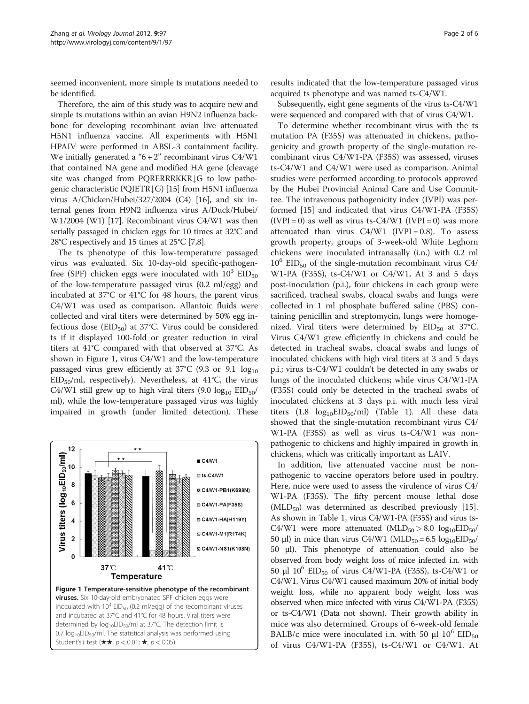seemed inconvenient, more simple ts mutations needed to be identified.

Therefore, the aim of this study was to acquire new and simple ts mutations within an avian H9N2 influenza backbone for developing recombinant avian live attenuated H5N1 influenza vaccine. All experiments with H5N1 HPAIV were performed in ABSL-3 containment facility. We initially generated a " $6+2$ " recombinant virus C4/W1 that contained NA gene and modified HA gene (cleavage site was changed from PQRERRRKKR $\downarrow$ G to low patho-genic characteristic PQIETR<sub>[G]</sub> [\[15\]](#page-5-0) from H5N1 influenza virus A/Chicken/Hubei/327/2004 (C4) [\[16](#page-5-0)], and six internal genes from H9N2 influenza virus A/Duck/Hubei/ W1/2004 (W1) [\[17](#page-5-0)]. Recombinant virus C4/W1 was then serially passaged in chicken eggs for 10 times at 32°C and 28°C respectively and 15 times at 25°C [\[7,8\]](#page-4-0).

The ts phenotype of this low-temperature passaged virus was evaluated. Six 10-day-old specific-pathogenfree (SPF) chicken eggs were inoculated with  $10^3$  EID<sub>50</sub> of the low-temperature passaged virus (0.2 ml/egg) and incubated at 37°C or 41°C for 48 hours, the parent virus C4/W1 was used as comparison. Allantoic fluids were collected and viral titers were determined by 50% egg infectious dose ( $EID_{50}$ ) at 37°C. Virus could be considered ts if it displayed 100-fold or greater reduction in viral titers at 41°C compared with that observed at 37°C. As shown in Figure 1, virus C4/W1 and the low-temperature passaged virus grew efficiently at  $37^{\circ}$ C (9.3 or 9.1  $log_{10}$  $EID_{50}/ml$ , respectively). Nevertheless, at 41°C, the virus C4/W1 still grew up to high viral titers  $(9.0 \text{ log}_{10} EID_{50}/$ ml), while the low-temperature passaged virus was highly impaired in growth (under limited detection). These



Subsequently, eight gene segments of the virus ts-C4/W1 were sequenced and compared with that of virus C4/W1.

To determine whether recombinant virus with the ts mutation PA (F35S) was attenuated in chickens, pathogenicity and growth property of the single-mutation recombinant virus C4/W1-PA (F35S) was assessed, viruses ts-C4/W1 and C4/W1 were used as comparison. Animal studies were performed according to protocols approved by the Hubei Provincial Animal Care and Use Committee. The intravenous pathogenicity index (IVPI) was performed [\[15](#page-5-0)] and indicated that virus C4/W1-PA (F35S)  $(IVPI = 0)$  as well as virus ts-C4/W1  $(IVPI = 0)$  was more attenuated than virus  $C4/W1$  (IVPI = 0.8). To assess growth property, groups of 3-week-old White Leghorn chickens were inoculated intranasally (i.n.) with 0.2 ml  $10^6$  EID<sub>50</sub> of the single-mutation recombinant virus C4/ W1-PA (F35S), ts-C4/W1 or C4/W1, At 3 and 5 days post-inoculation (p.i.), four chickens in each group were sacrificed, tracheal swabs, cloacal swabs and lungs were collected in 1 ml phosphate buffered saline (PBS) containing penicillin and streptomycin, lungs were homogenized. Viral titers were determined by  $EID_{50}$  at 37°C. Virus C4/W1 grew efficiently in chickens and could be detected in tracheal swabs, cloacal swabs and lungs of inoculated chickens with high viral titers at 3 and 5 days p.i.; virus ts-C4/W1 couldn't be detected in any swabs or lungs of the inoculated chickens; while virus C4/W1-PA (F35S) could only be detected in the tracheal swabs of inoculated chickens at 3 days p.i. with much less viral titers  $(1.8 \log_{10} EID_{50}/ml)$  (Table [1\)](#page-2-0). All these data showed that the single-mutation recombinant virus C4/ W1-PA (F35S) as well as virus ts-C4/W1 was nonpathogenic to chickens and highly impaired in growth in chickens, which was critically important as LAIV.

In addition, live attenuated vaccine must be nonpathogenic to vaccine operators before used in poultry. Here, mice were used to assess the virulence of virus C4/ W1-PA (F35S). The fifty percent mouse lethal dose  $(MLD_{50})$  was determined as described previously [[15](#page-5-0)]. As shown in Table [1,](#page-2-0) virus C4/W1-PA (F35S) and virus ts-C4/W1 were more attenuated  $(MLD_{50} > 8.0$   $log_{10}EID_{50}/$ 50 μl) in mice than virus C4/W1 (MLD<sub>50</sub> = 6.5 log<sub>10</sub>EID<sub>50</sub>/ 50 μl). This phenotype of attenuation could also be observed from body weight loss of mice infected i.n. with 50 μl  $10^6$  EID<sub>50</sub> of virus C4/W1-PA (F35S), ts-C4/W1 or C4/W1. Virus C4/W1 caused maximum 20% of initial body weight loss, while no apparent body weight loss was observed when mice infected with virus C4/W1-PA (F35S) or ts-C4/W1 (Data not shown). Their growth ability in mice was also determined. Groups of 6-week-old female BALB/c mice were inoculated i.n. with 50  $\mu$ l 10<sup>6</sup> EID<sub>50</sub> of virus C4/W1-PA (F35S), ts-C4/W1 or C4/W1. At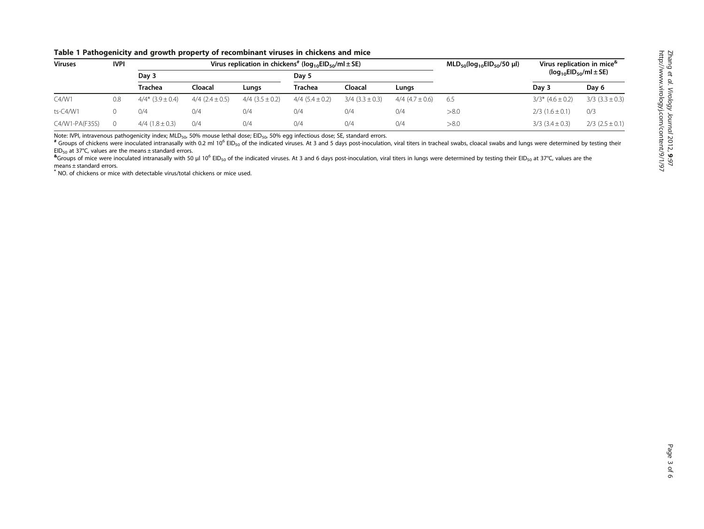<span id="page-2-0"></span>

|  |  |  | Table 1 Pathogenicity and growth property of recombinant viruses in chickens and mice |  |  |
|--|--|--|---------------------------------------------------------------------------------------|--|--|
|--|--|--|---------------------------------------------------------------------------------------|--|--|

| <b>Viruses</b> | <b>IVPI</b> | Virus replication in chickens <sup>#</sup> ( $log_{10}EID_{50}/ml \pm SE$ ) |                       |                       |                       |                       | $MLD_{50}(log_{10}EID_{50}/50 \mu l)$ | Virus replication in mice <sup>®</sup> |                                    |                       |
|----------------|-------------|-----------------------------------------------------------------------------|-----------------------|-----------------------|-----------------------|-----------------------|---------------------------------------|----------------------------------------|------------------------------------|-----------------------|
|                |             | Day 3                                                                       |                       |                       | Dav 5                 |                       |                                       |                                        | $(log_{10}EID_{50}/ml \pm SE)$     |                       |
|                |             | Trachea                                                                     | Cloacal               | Lunas                 | Trachea               | Cloacal               | Lunas                                 |                                        | Day 3                              | Day 6                 |
| C4/ W1         | 0.8         | $4/4*$ (3.9 ± 0.4)                                                          | $4/4$ $(2.4 \pm 0.5)$ | $4/4$ (3.5 $\pm$ 0.2) | $4/4$ (5.4 $\pm$ 0.2) | $3/4$ (3.3 $\pm$ 0.3) | $4/4$ (4.7 $\pm$ 0.6)                 | 6.5                                    | $3/3$ <sup>*</sup> $(4.6 \pm 0.2)$ | $3/3$ (3.3 $\pm$ 0.3) |
| ts-C4/W1       |             | 0/4                                                                         | 0/4                   | 0/4                   | 0/4                   | 0/4                   | 0/4                                   | > 8.0                                  | $2/3$ (1.6 $\pm$ 0.1)              | 0/3                   |
| C4/W1-PA(F35S) |             | $4/4$ (1.8 $\pm$ 0.3)                                                       | 0/4                   | 0/4                   | 0/4                   | 0/4                   | 0/4                                   | > 8.0                                  | $3/3$ $(3.4 \pm 0.3)$              | $2/3$ (2.5 $\pm$ 0.1) |

Note: IVPI, intravenous pathogenicity index; MLD<sub>50</sub>, 50% mouse lethal dose; EID<sub>50</sub>, 50% egg infectious dose; SE, standard errors.<br><sup>#</sup> Groups of chickens were inoculated intranasally with 0.2 ml 10<sup>6</sup> EID<sub>50</sub> of the indi

a service were inoculated intranasally with 50 ul 10<sup>6</sup> EID<sub>so</sub> of the indicated viruses. At 3 and 6 days post-inoculation, viral titers in lungs were determined by testing their EID<sub>so</sub> at 37°C, values are the means ± standard errors.

\* NO. of chickens or mice with detectable virus/total chickens or mice used.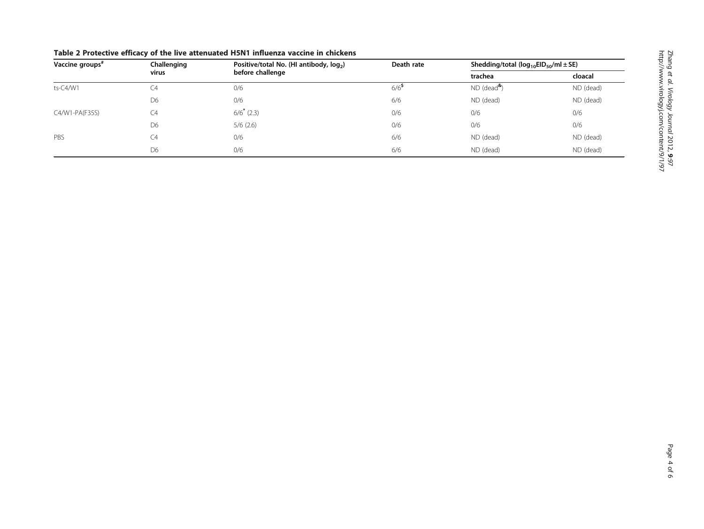| Vaccine groups" | Challenging<br>virus | Positive/total No. (HI antibody, log <sub>2</sub> )<br>before challenge | Death rate         | Shedding/total ( $log_{10}EID_{50}/ml \pm SE$ ) |           |
|-----------------|----------------------|-------------------------------------------------------------------------|--------------------|-------------------------------------------------|-----------|
|                 |                      |                                                                         |                    | trachea                                         | cloacal   |
| ts-C4/W1        | -4                   | 0/6                                                                     | $6/6$ <sup>5</sup> | $ND$ (dead <sup>&amp;</sup> )                   | ND (dead) |
|                 | D <sub>6</sub>       | 0/6                                                                     | 6/6                | ND (dead)                                       | ND (dead) |
| C4/W1-PA(F35S)  | C4                   | $6/6$ <sup>*</sup> (2.3)                                                | 0/6                | 0/6                                             | 0/6       |
|                 | D <sub>6</sub>       | 5/6(2.6)                                                                | 0/6                | 0/6                                             | 0/6       |
| PBS             | 24                   | 0/6                                                                     | 6/6                | ND (dead)                                       | ND (dead) |
|                 | D <sub>6</sub>       | 0/6                                                                     | 6/6                | ND (dead)                                       | ND (dead) |

# <span id="page-3-0"></span>Table 2 Protective efficacy of the live attenuated H5N1 influenza vaccine in chickens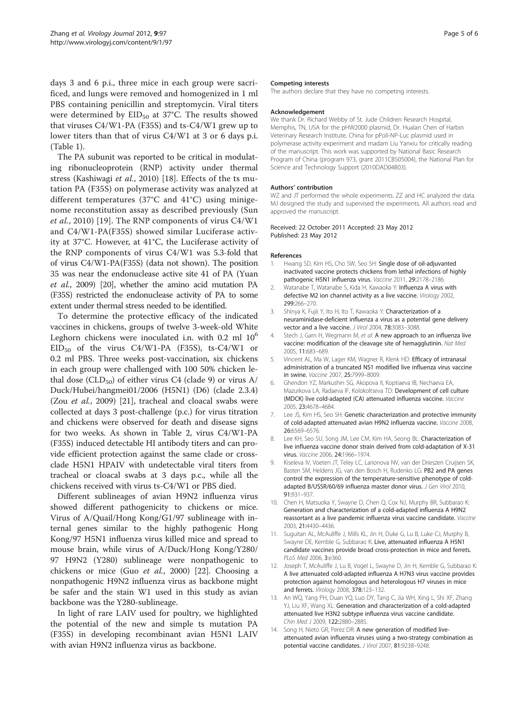<span id="page-4-0"></span>days 3 and 6 p.i., three mice in each group were sacrificed, and lungs were removed and homogenized in 1 ml PBS containing penicillin and streptomycin. Viral titers were determined by  $EID_{50}$  at 37°C. The results showed that viruses C4/W1-PA (F35S) and ts-C4/W1 grew up to lower titers than that of virus C4/W1 at 3 or 6 days p.i. (Table [1\)](#page-2-0).

The PA subunit was reported to be critical in modulating ribonucleoprotein (RNP) activity under thermal stress (Kashiwagi et al., 2010) [\[18](#page-5-0)]. Effects of the ts mutation PA (F35S) on polymerase activity was analyzed at different temperatures (37°C and 41°C) using minigenome reconstitution assay as described previously (Sun et al., 2010) [[19](#page-5-0)]. The RNP components of virus C4/W1 and C4/W1-PA(F35S) showed similar Luciferase activity at 37°C. However, at 41°C, the Luciferase activity of the RNP components of virus C4/W1 was 5.3-fold that of virus C4/W1-PA(F35S) (data not shown). The position 35 was near the endonuclease active site 41 of PA (Yuan et al., 2009) [[20](#page-5-0)], whether the amino acid mutation PA (F35S) restricted the endonuclease activity of PA to some extent under thermal stress needed to be identified.

To determine the protective efficacy of the indicated vaccines in chickens, groups of twelve 3-week-old White Leghorn chickens were inoculated i.n. with  $0.2$  ml  $10<sup>6</sup>$  $EID_{50}$  of the virus C4/W1-PA (F35S), ts-C4/W1 or 0.2 ml PBS. Three weeks post-vaccination, six chickens in each group were challenged with 100 50% chicken lethal dose (CLD<sub>50</sub>) of either virus C4 (clade 9) or virus A/ Duck/Hubei/hangmei01/2006 (H5N1) (D6) (clade 2.3.4) (Zou et al., 2009) [[21](#page-5-0)], tracheal and cloacal swabs were collected at days 3 post-challenge (p.c.) for virus titration and chickens were observed for death and disease signs for two weeks. As shown in Table [2](#page-3-0), virus C4/W1-PA (F35S) induced detectable HI antibody titers and can provide efficient protection against the same clade or crossclade H5N1 HPAIV with undetectable viral titers from tracheal or cloacal swabs at 3 days p.c., while all the chickens received with virus ts-C4/W1 or PBS died.

Different sublineages of avian H9N2 influenza virus showed different pathogenicity to chickens or mice. Virus of A/Quail/Hong Kong/G1/97 sublineage with internal genes similar to the highly pathogenic Hong Kong/97 H5N1 influenza virus killed mice and spread to mouse brain, while virus of A/Duck/Hong Kong/Y280/ 97 H9N2 (Y280) sublineage were nonpathogenic to chickens or mice (Guo et al., 2000) [\[22](#page-5-0)]. Choosing a nonpathogenic H9N2 influenza virus as backbone might be safer and the stain W1 used in this study as avian backbone was the Y280-sublineage.

In light of rare LAIV used for poultry, we highlighted the potential of the new and simple ts mutation PA (F35S) in developing recombinant avian H5N1 LAIV with avian H9N2 influenza virus as backbone.

#### Competing interests

The authors declare that they have no competing interests.

#### Acknowledgement

We thank Dr. Richard Webby of St. Jude Children Research Hospital, Memphis, TN, USA for the pHW2000 plasmid, Dr. Hualan Chen of Harbin Veterinary Research Institute, China for pPolI-NP-Luc plasmid used in polymerase activity experiment and madam Liu Yanxiu for critically reading of the manuscript. This work was supported by National Basic Research Program of China (program 973, grant 2011CB505004), the National Plan for Science and Technology Support (2010DAD04B03).

#### Authors' contribution

WZ and JT performed the whole experiments. ZZ and HC analyzed the data. MJ designed the study and supervised the experiments. All authors read and approved the manuscript.

Received: 22 October 2011 Accepted: 23 May 2012 Published: 23 May 2012

#### References

- 1. Hwang SD, Kim HS, Cho SW, Seo SH: Single dose of oil-adjuvanted inactivated vaccine protects chickens from lethal infections of highly pathogenic H5N1 influenza virus. Vaccine 2011, 29:2178–2186.
- 2. Watanabe T, Watanabe S, Kida H, Kawaoka Y: Influenza A virus with defective M2 ion channel activity as a live vaccine. Virology 2002, 299:266–270.
- 3. Shinya K, Fujii Y, Ito H, Ito T, Kawaoka Y: Characterization of a neuraminidase-deficient influenza a virus as a potential gene delivery vector and a live vaccine. J Virol 2004, 78:3083-3088.
- 4. Stech J, Garn H, Wegmann M, et al: A new approach to an influenza live vaccine: modification of the cleavage site of hemagglutinin. Nat Med 2005, 11:683–689.
- Vincent AL, Ma W, Lager KM, Wagner R, Klenk HD: Efficacy of intranasal administration of a truncated NS1 modified live influenza virus vaccine in swine. Vaccine 2007, 25:7999-8009.
- 6. Ghendon YZ, Markushin SG, Akopova II, Koptiaeva IB, Nechaeva EA, Mazurkova LA, Radaeva IF, Kolokoltseva TD: Development of cell culture (MDCK) live cold-adapted (CA) attenuated influenza vaccine. Vaccine 2005, 23:4678–4684.
- 7. Lee JS, Kim HS, Seo SH: Genetic characterization and protective immunity of cold-adapted attenuated avian H9N2 influenza vaccine. Vaccine 2008, 26:6569–6576.
- Lee KH, Seo SU, Song JM, Lee CM, Kim HA, Seong BL: Characterization of live influenza vaccine donor strain derived from cold-adaptation of X-31 virus. Vaccine 2006, 24:1966–1974.
- 9. Kiseleva IV, Voeten JT, Teley LC, Larionova NV, van der Drieszen Cruijsen SK, Basten SM, Heldens JG, van den Bosch H, Rudenko LG: PB2 and PA genes control the expression of the temperature-sensitive phenotype of coldadapted B/USSR/60/69 influenza master donor virus. J Gen Virol 2010, 91:931–937.
- 10. Chen H, Matsuoka Y, Swayne D, Chen Q, Cox NJ, Murphy BR, Subbarao K: Generation and characterization of a cold-adapted influenza A H9N2 reassortant as a live pandemic influenza virus vaccine candidate. Vaccine 2003, 21:4430–4436.
- 11. Suguitan AL, McAuliffe J, Mills KL, Jin H, Duke G, Lu B, Luke CJ, Murphy B, Swayne DE, Kemble G, Subbarao K: Live, attenuated influenza A H5N1 candidate vaccines provide broad cross-protection in mice and ferrets. PLoS Med 2006, 3:e360.
- 12. Joseph T, McAuliffe J, Lu B, Vogel L, Swayne D, Jin H, Kemble G, Subbarao K: A live attenuated cold-adapted influenza A H7N3 virus vaccine provides protection against homologous and heterologous H7 viruses in mice and ferrets. Virology 2008, 378:123–132.
- 13. An WQ, Yang PH, Duan YQ, Luo DY, Tang C, Jia WH, Xing L, Shi XF, Zhang YJ, Liu XF, Wang XL: Generation and characterization of a cold-adapted attenuated live H3N2 subtype influenza virus vaccine candidate. Chin Med J 2009, 122:2880–2885.
- 14. Song H, Nieto GR, Perez DR: A new generation of modified liveattenuated avian influenza viruses using a two-strategy combination as potential vaccine candidates. J Virol 2007, 81:9238–9248.